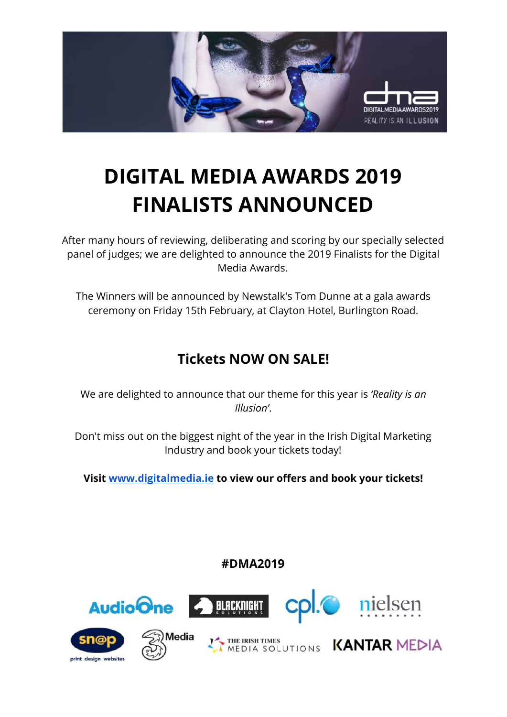

# **DIGITAL MEDIA AWARDS 2019 FINALISTS ANNOUNCED**

After many hours of reviewing, deliberating and scoring by our specially selected panel of judges; we are delighted to announce the 2019 Finalists for the Digital Media Awards.

The Winners will be announced by Newstalk's Tom Dunne at a gala awards ceremony on Friday 15th February, at Clayton Hotel, Burlington Road.

### **Tickets NOW ON SALE!**

We are delighted to announce that our theme for this year is *'Reality is an Illusion'*.

Don't miss out on the biggest night of the year in the Irish Digital Marketing Industry and book your tickets today!

**Visit [www.digitalmedia.ie](http://www.digitalmedia.ie/) to view our offers and book your tickets!**

**#DMA2019**

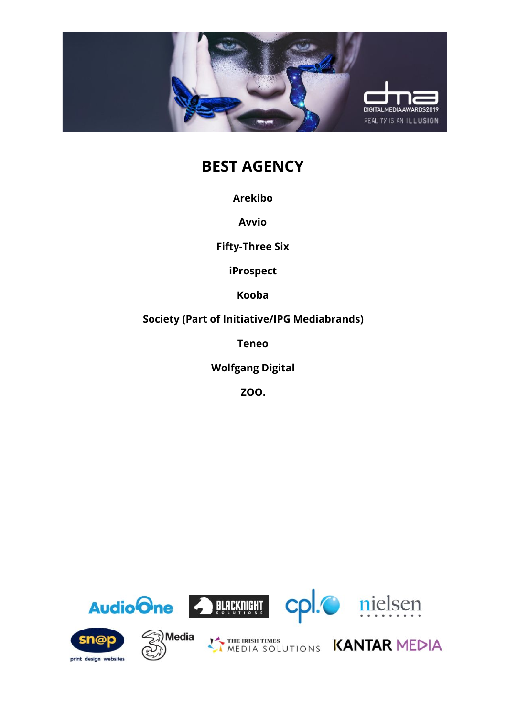

# **BEST AGENCY**

**Arekibo**

**Avvio**

**Fifty-Three Six**

**iProspect**

**Kooba**

**Society (Part of Initiative/IPG Mediabrands)**

**Teneo**

**Wolfgang Digital**

**ZOO.**

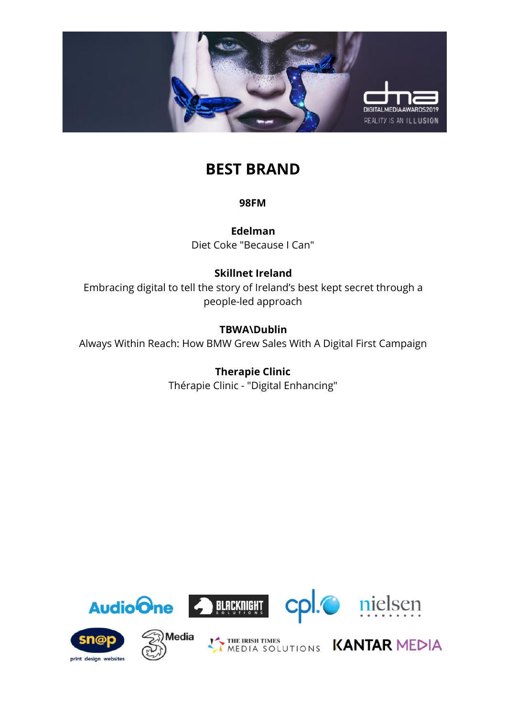

### **BEST BRAND**

**98FM**

**Edelman** Diet Coke "Because I Can"

### **Skillnet Ireland**

Embracing digital to tell the story of Ireland's best kept secret through a people-led approach

### **TBWA\Dublin**

Always Within Reach: How BMW Grew Sales With A Digital First Campaign

#### **Therapie Clinic**

Thérapie Clinic - "Digital Enhancing"

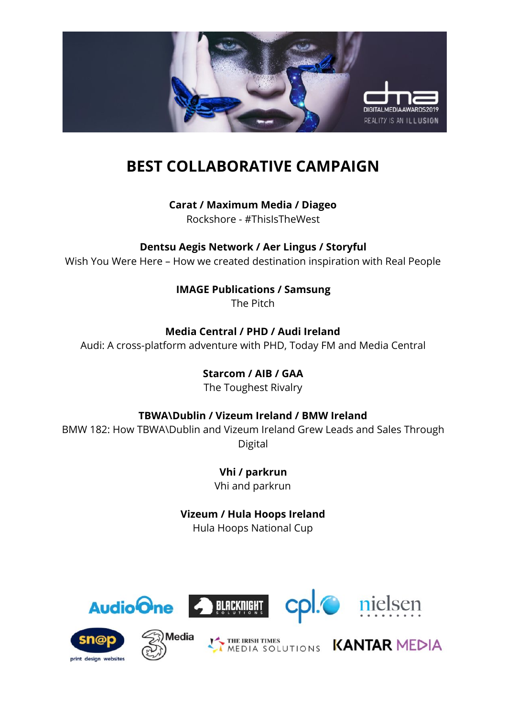

# **BEST COLLABORATIVE CAMPAIGN**

**Carat / Maximum Media / Diageo**

Rockshore - #ThisIsTheWest

**Dentsu Aegis Network / Aer Lingus / Storyful** Wish You Were Here – How we created destination inspiration with Real People

**IMAGE Publications / Samsung**

The Pitch

**Media Central / PHD / Audi Ireland** Audi: A cross-platform adventure with PHD, Today FM and Media Central

> **Starcom / AIB / GAA** The Toughest Rivalry

**TBWA\Dublin / Vizeum Ireland / BMW Ireland**

BMW 182: How TBWA\Dublin and Vizeum Ireland Grew Leads and Sales Through Digital

> **Vhi / parkrun** Vhi and parkrun

**Vizeum / Hula Hoops Ireland** Hula Hoops National Cup



print design websites





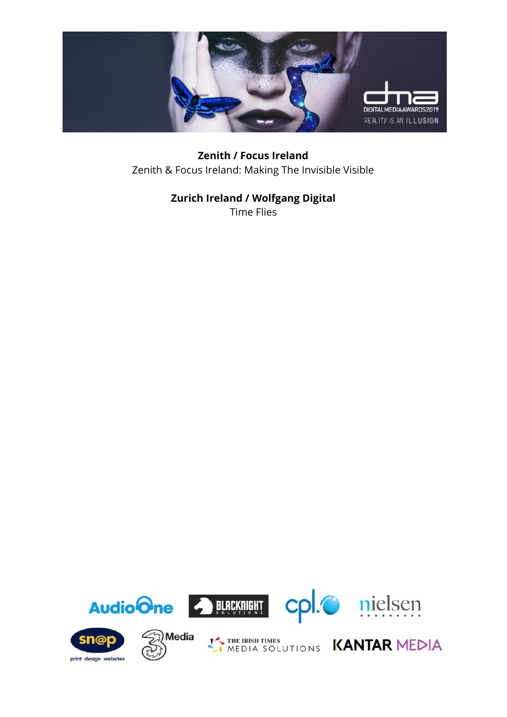

**Zenith / Focus Ireland** Zenith & Focus Ireland: Making The Invisible Visible

### **Zurich Ireland / Wolfgang Digital**

Time Flies

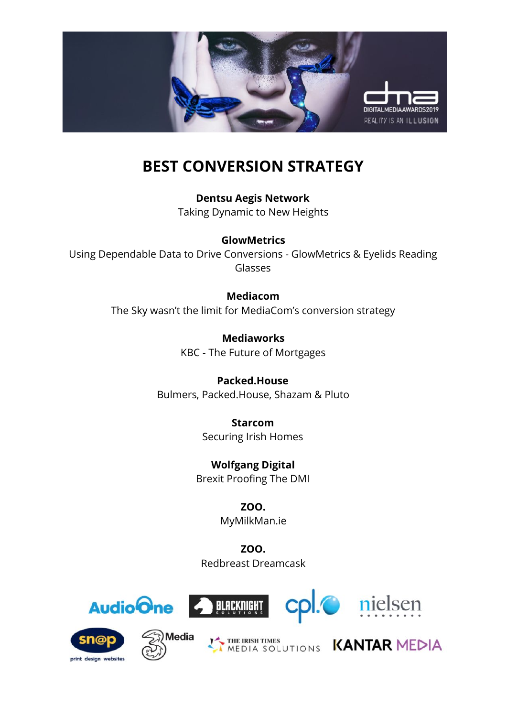

# **BEST CONVERSION STRATEGY**

**Dentsu Aegis Network** Taking Dynamic to New Heights

#### **GlowMetrics**

Using Dependable Data to Drive Conversions - GlowMetrics & Eyelids Reading Glasses

#### **Mediacom**

The Sky wasn't the limit for MediaCom's conversion strategy

**Mediaworks** KBC - The Future of Mortgages

**Packed.House** Bulmers, Packed.House, Shazam & Pluto

> **Starcom** Securing Irish Homes

**Wolfgang Digital** Brexit Proofing The DMI

> **ZOO.** MyMilkMan.ie

**ZOO.** Redbreast Dreamcask











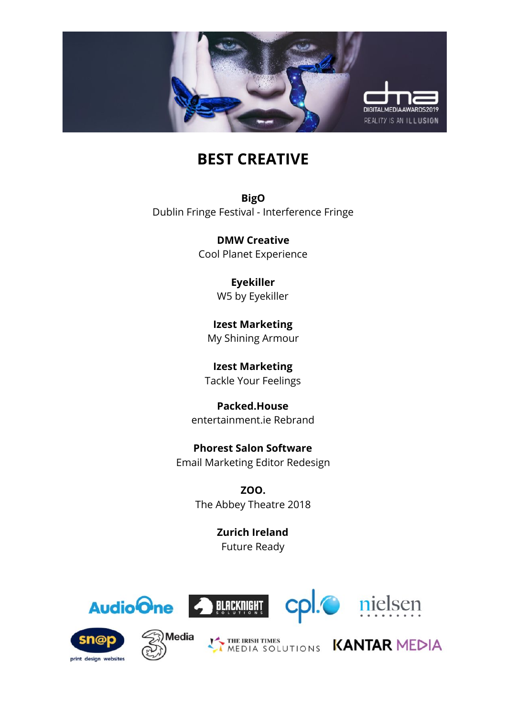

### **BEST CREATIVE**

**BigO** Dublin Fringe Festival - Interference Fringe

> **DMW Creative** Cool Planet Experience

> > **Eyekiller** W5 by Eyekiller

**Izest Marketing** My Shining Armour

**Izest Marketing** Tackle Your Feelings

**Packed.House** entertainment.ie Rebrand

**Phorest Salon Software** Email Marketing Editor Redesign

> **ZOO.** The Abbey Theatre 2018

> > **Zurich Ireland** Future Ready











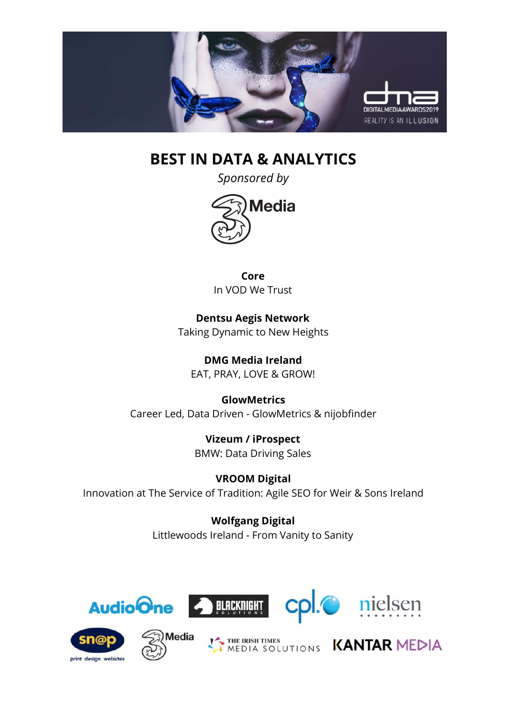

### **BEST IN DATA & ANALYTICS**

*Sponsored by*



**Core** In VOD We Trust

**Dentsu Aegis Network** Taking Dynamic to New Heights

**DMG Media Ireland** EAT, PRAY, LOVE & GROW!

**GlowMetrics** Career Led, Data Driven - GlowMetrics & nijobfinder

> **Vizeum / iProspect** BMW: Data Driving Sales

**VROOM Digital** Innovation at The Service of Tradition: Agile SEO for Weir & Sons Ireland

> **Wolfgang Digital** Littlewoods Ireland - From Vanity to Sanity











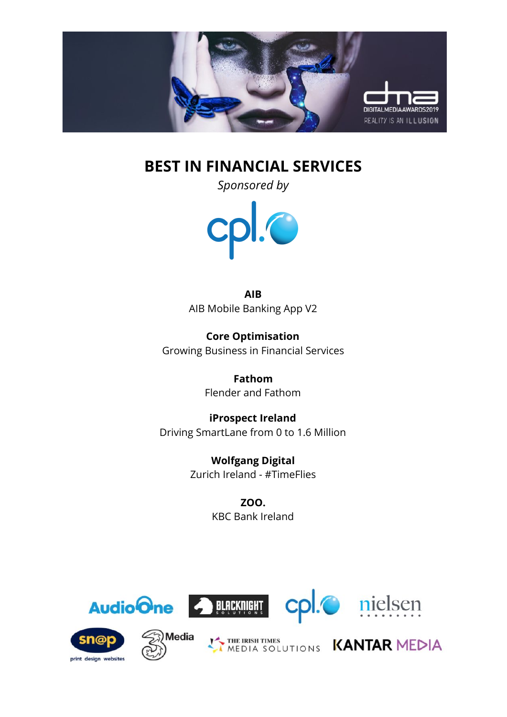

### **BEST IN FINANCIAL SERVICES**

*Sponsored by*



**AIB** AIB Mobile Banking App V2

**Core Optimisation** Growing Business in Financial Services

> **Fathom** Flender and Fathom

**iProspect Ireland** Driving SmartLane from 0 to 1.6 Million

> **Wolfgang Digital** Zurich Ireland - #TimeFlies

> > **ZOO.** KBC Bank Ireland







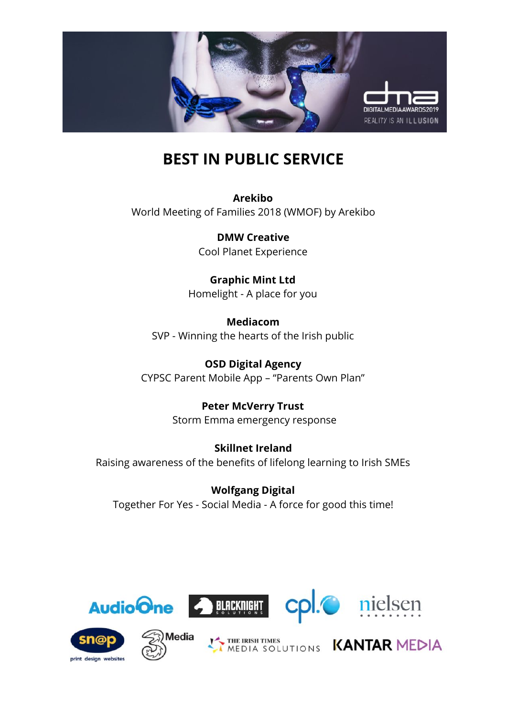

# **BEST IN PUBLIC SERVICE**

**Arekibo** World Meeting of Families 2018 (WMOF) by Arekibo

> **DMW Creative** Cool Planet Experience

**Graphic Mint Ltd** Homelight - A place for you

**Mediacom** SVP - Winning the hearts of the Irish public

**OSD Digital Agency** CYPSC Parent Mobile App – "Parents Own Plan"

> **Peter McVerry Trust** Storm Emma emergency response

**Skillnet Ireland** Raising awareness of the benefits of lifelong learning to Irish SMEs

**Wolfgang Digital** Together For Yes - Social Media - A force for good this time!



print design websites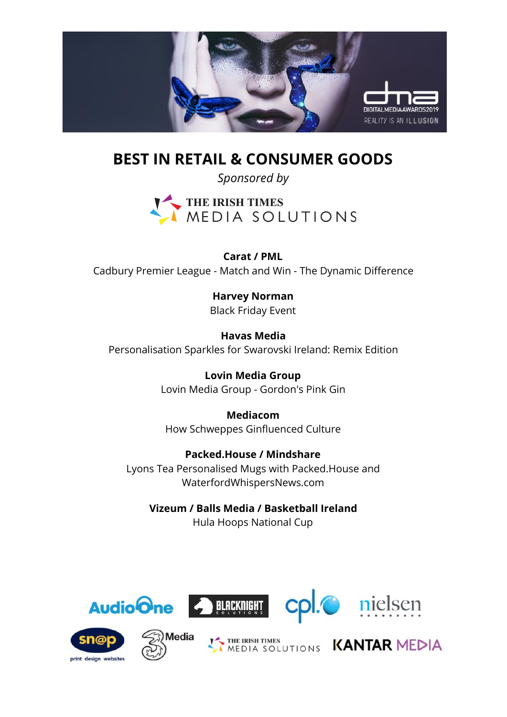

**BEST IN RETAIL & CONSUMER GOODS**

*Sponsored by*



**Carat / PML** Cadbury Premier League - Match and Win - The Dynamic Difference

> **Harvey Norman** Black Friday Event

**Havas Media** Personalisation Sparkles for Swarovski Ireland: Remix Edition

> **Lovin Media Group** Lovin Media Group - Gordon's Pink Gin

**Mediacom** How Schweppes Ginfluenced Culture

**Packed.House / Mindshare** Lyons Tea Personalised Mugs with Packed.House and WaterfordWhispersNews.com

**Vizeum / Balls Media / Basketball Ireland** Hula Hoops National Cup











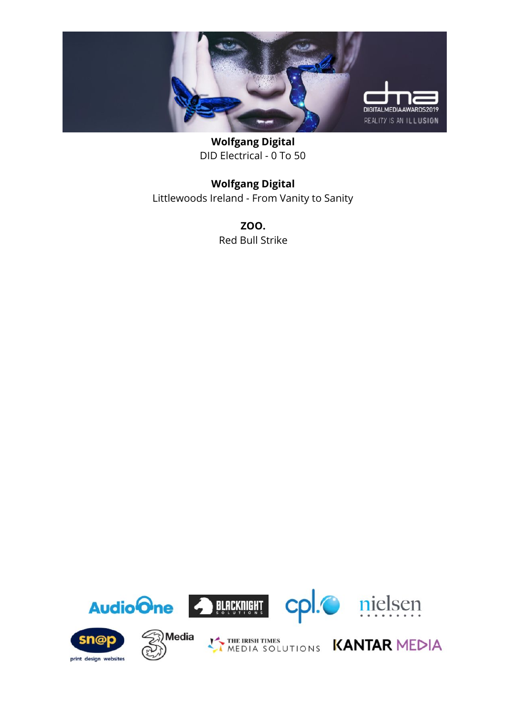

**Wolfgang Digital** DID Electrical - 0 To 50

#### **Wolfgang Digital** Littlewoods Ireland - From Vanity to Sanity

**ZOO.** Red Bull Strike

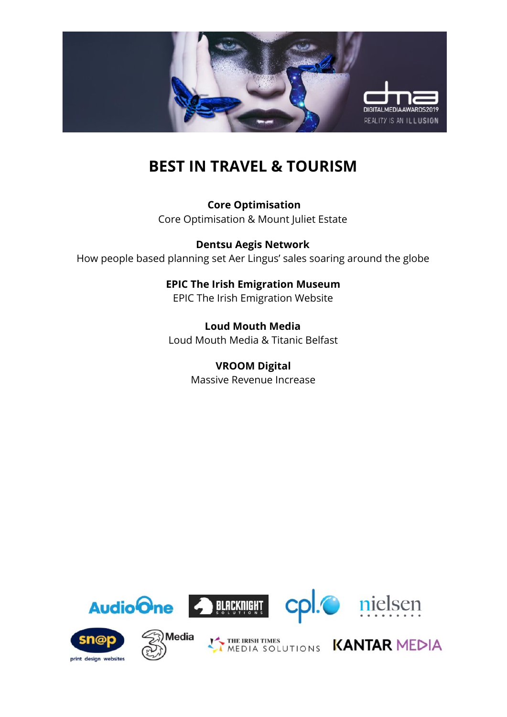

# **BEST IN TRAVEL & TOURISM**

 **Core Optimisation** Core Optimisation & Mount Juliet Estate

**Dentsu Aegis Network** How people based planning set Aer Lingus' sales soaring around the globe

> **EPIC The Irish Emigration Museum** EPIC The Irish Emigration Website

**Loud Mouth Media** Loud Mouth Media & Titanic Belfast

> **VROOM Digital** Massive Revenue Increase

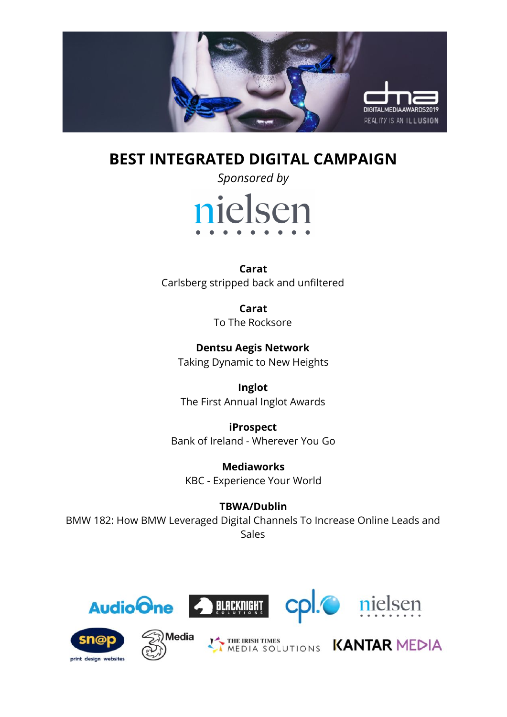

### **BEST INTEGRATED DIGITAL CAMPAIGN**

*Sponsored by* nielsen

**Carat** Carlsberg stripped back and unfiltered

> **Carat** To The Rocksore

**Dentsu Aegis Network** Taking Dynamic to New Heights

**Inglot** The First Annual Inglot Awards

**iProspect** Bank of Ireland - Wherever You Go

**Mediaworks** KBC - Experience Your World

#### **TBWA/Dublin**

BMW 182: How BMW Leveraged Digital Channels To Increase Online Leads and Sales





Media







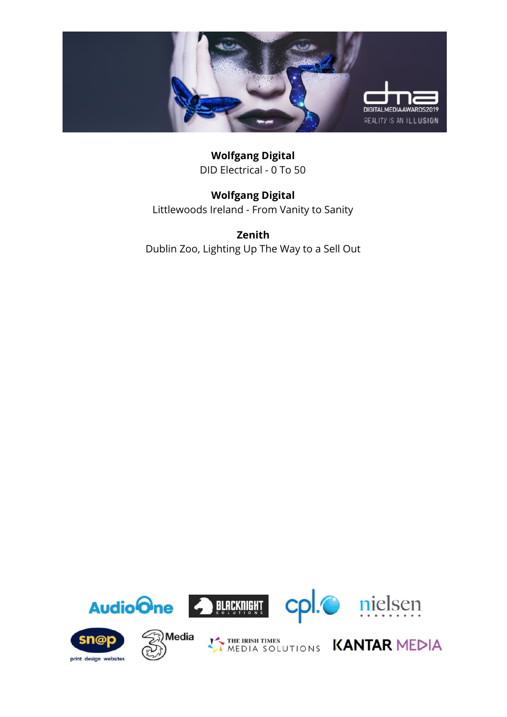

**Wolfgang Digital** DID Electrical - 0 To 50

**Wolfgang Digital** Littlewoods Ireland - From Vanity to Sanity

**Zenith** Dublin Zoo, Lighting Up The Way to a Sell Out

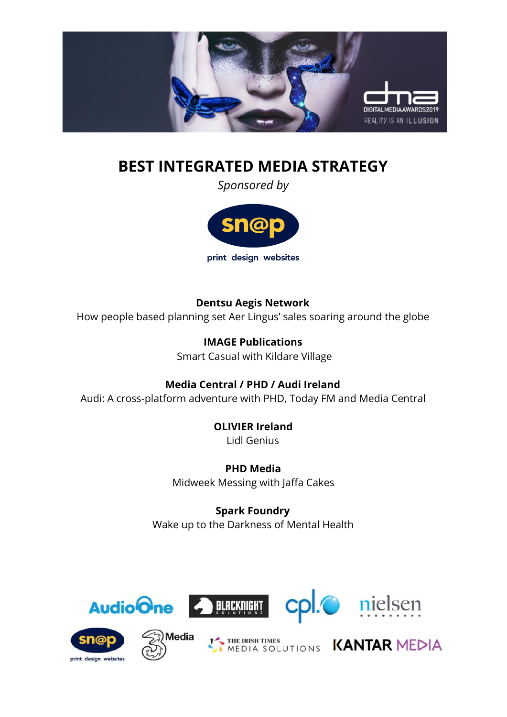

# **BEST INTEGRATED MEDIA STRATEGY**

*Sponsored by*



**Dentsu Aegis Network** How people based planning set Aer Lingus' sales soaring around the globe

> **IMAGE Publications** Smart Casual with Kildare Village

**Media Central / PHD / Audi Ireland** Audi: A cross-platform adventure with PHD, Today FM and Media Central

> **OLIVIER Ireland** Lidl Genius

**PHD Media** Midweek Messing with Jaffa Cakes

**Spark Foundry** Wake up to the Darkness of Mental Health



print design websites







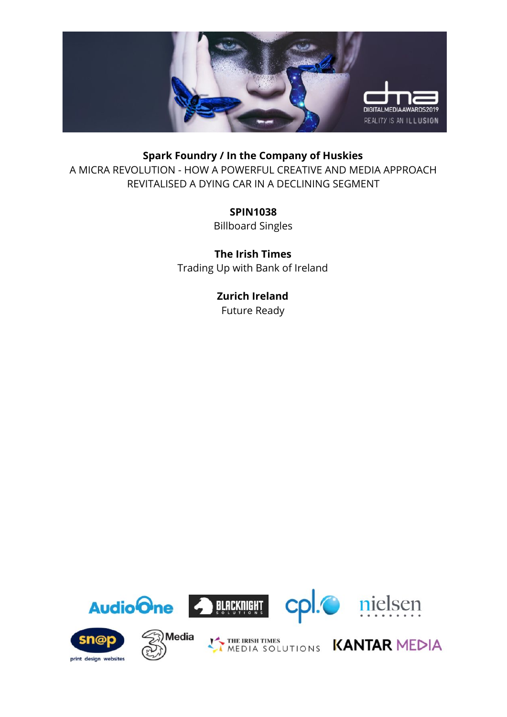

#### **Spark Foundry / In the Company of Huskies**

A MICRA REVOLUTION - HOW A POWERFUL CREATIVE AND MEDIA APPROACH REVITALISED A DYING CAR IN A DECLINING SEGMENT

**SPIN1038**

Billboard Singles

**The Irish Times** Trading Up with Bank of Ireland

> **Zurich Ireland** Future Ready

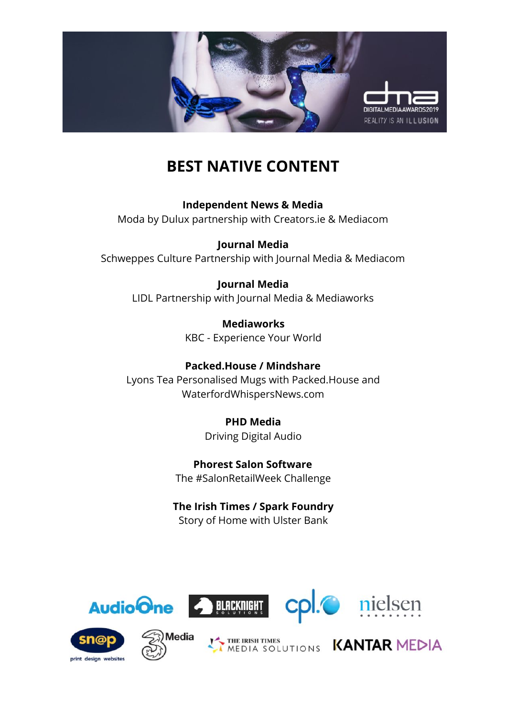

# **BEST NATIVE CONTENT**

**Independent News & Media** Moda by Dulux partnership with Creators.ie & Mediacom

**Journal Media** Schweppes Culture Partnership with Journal Media & Mediacom

#### **Journal Media**

LIDL Partnership with Journal Media & Mediaworks

**Mediaworks** KBC - Experience Your World

**Packed.House / Mindshare** Lyons Tea Personalised Mugs with Packed.House and WaterfordWhispersNews.com

> **PHD Media** Driving Digital Audio

**Phorest Salon Software** The #SalonRetailWeek Challenge

#### **The Irish Times / Spark Foundry** Story of Home with Ulster Bank







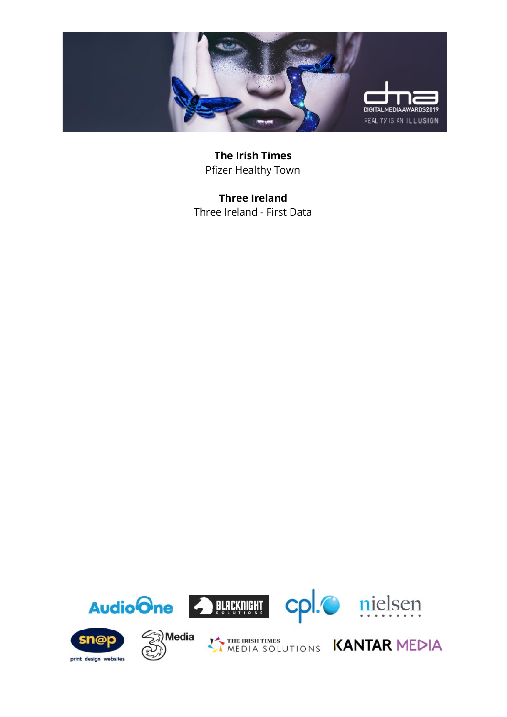

**The Irish Times** Pfizer Healthy Town

**Three Ireland** Three Ireland - First Data

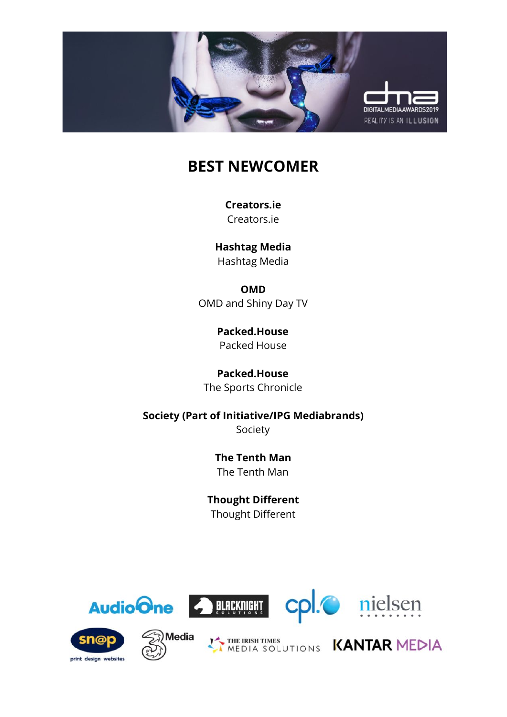

# **BEST NEWCOMER**

**Creators.ie** Creators.ie

**Hashtag Media** Hashtag Media

**OMD** OMD and Shiny Day TV

> **Packed.House** Packed House

**Packed.House** The Sports Chronicle

**Society (Part of Initiative/IPG Mediabrands)** Society

> **The Tenth Man** The Tenth Man

**Thought Different** Thought Different









THE IRISH TIMES UTIONS KANTAR MEDIA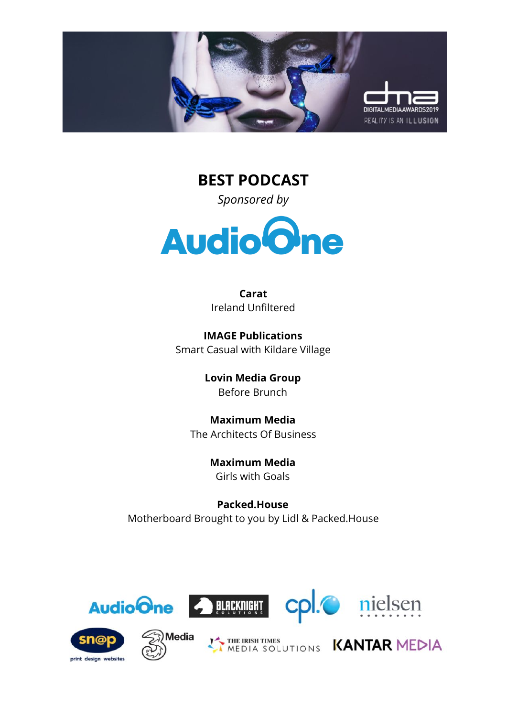

**BEST PODCAST** *Sponsored by*



**Carat** Ireland Unfiltered

**IMAGE Publications** Smart Casual with Kildare Village

> **Lovin Media Group** Before Brunch

**Maximum Media** The Architects Of Business

> **Maximum Media** Girls with Goals

**Packed.House** Motherboard Brought to you by Lidl & Packed.House











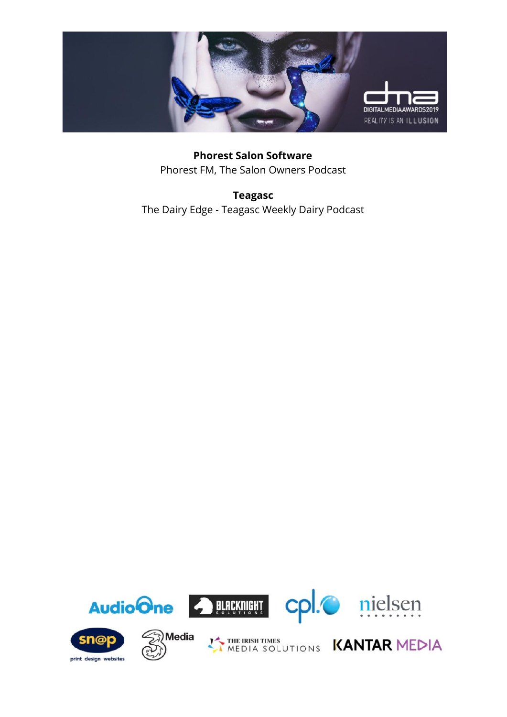

**Phorest Salon Software** Phorest FM, The Salon Owners Podcast

**Teagasc** The Dairy Edge - Teagasc Weekly Dairy Podcast

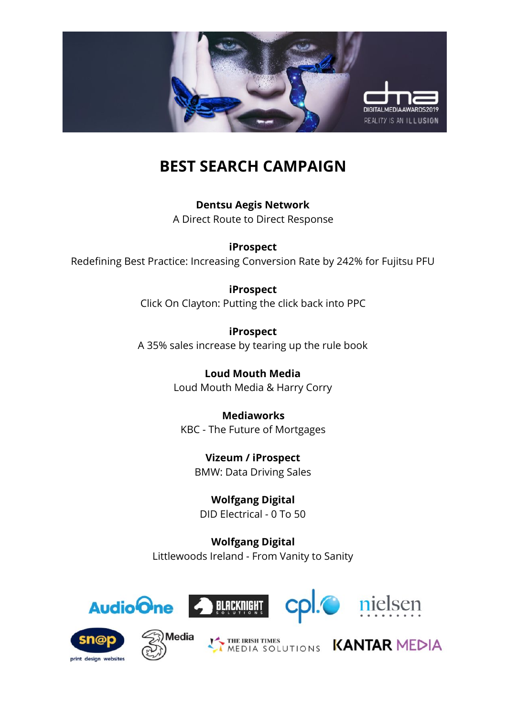

# **BEST SEARCH CAMPAIGN**

**Dentsu Aegis Network** A Direct Route to Direct Response

**iProspect** Redefining Best Practice: Increasing Conversion Rate by 242% for Fujitsu PFU

> **iProspect** Click On Clayton: Putting the click back into PPC

> **iProspect** A 35% sales increase by tearing up the rule book

> > **Loud Mouth Media** Loud Mouth Media & Harry Corry

**Mediaworks** KBC - The Future of Mortgages

**Vizeum / iProspect** BMW: Data Driving Sales

**Wolfgang Digital** DID Electrical - 0 To 50

**Wolfgang Digital** Littlewoods Ireland - From Vanity to Sanity





**Aedia** 







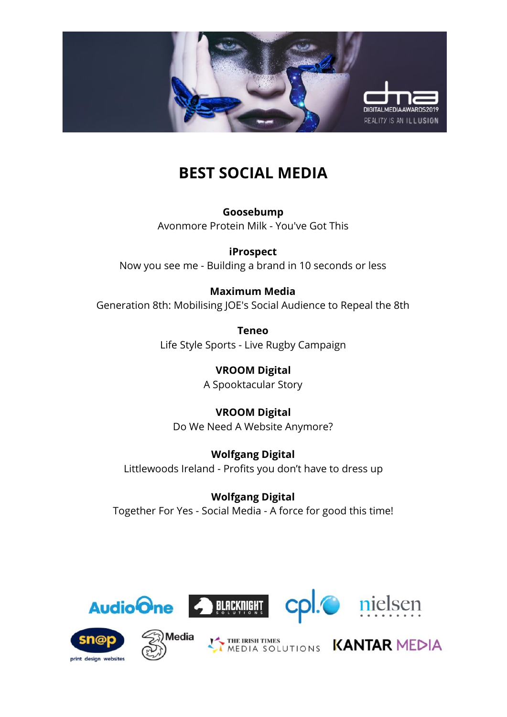

### **BEST SOCIAL MEDIA**

**Goosebump** Avonmore Protein Milk - You've Got This

**iProspect**

Now you see me - Building a brand in 10 seconds or less

#### **Maximum Media**

Generation 8th: Mobilising JOE's Social Audience to Repeal the 8th

**Teneo** Life Style Sports - Live Rugby Campaign

> **VROOM Digital** A Spooktacular Story

**VROOM Digital** Do We Need A Website Anymore?

**Wolfgang Digital** Littlewoods Ireland - Profits you don't have to dress up

**Wolfgang Digital** Together For Yes - Social Media - A force for good this time!



print design websites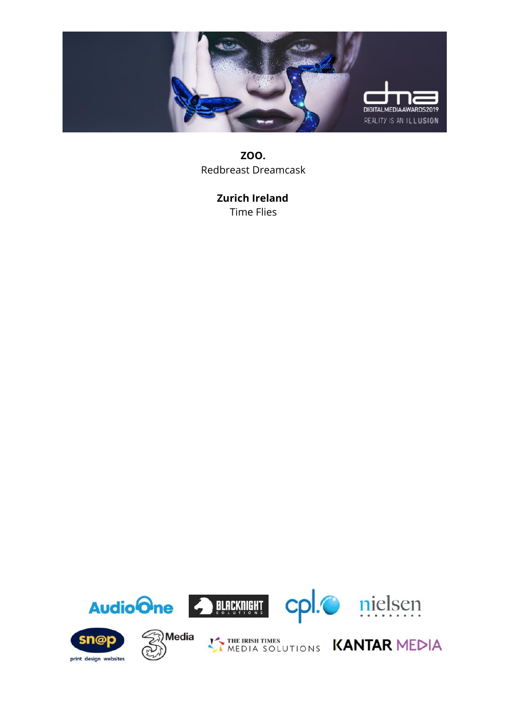

**ZOO.** Redbreast Dreamcask

> **Zurich Ireland** Time Flies

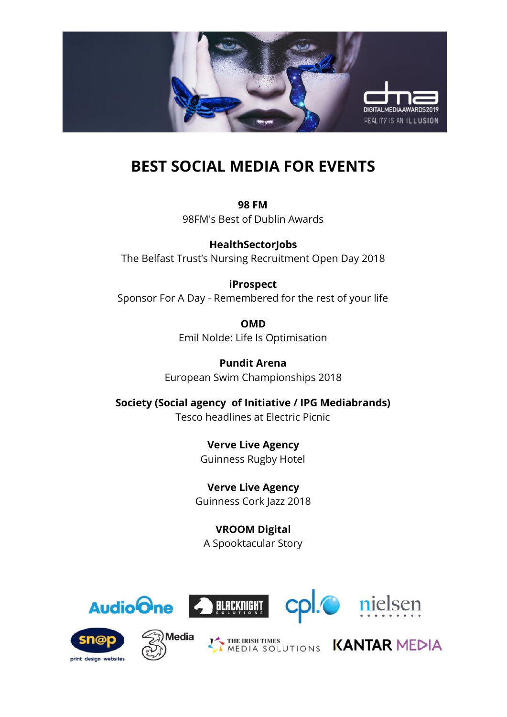

# **BEST SOCIAL MEDIA FOR EVENTS**

**98 FM** 98FM's Best of Dublin Awards

**HealthSectorJobs** The Belfast Trust's Nursing Recruitment Open Day 2018

#### **iProspect**

Sponsor For A Day - Remembered for the rest of your life

**OMD** Emil Nolde: Life Is Optimisation

**Pundit Arena** European Swim Championships 2018

**Society (Social agency of Initiative / IPG Mediabrands)** Tesco headlines at Electric Picnic

> **Verve Live Agency** Guinness Rugby Hotel

**Verve Live Agency** Guinness Cork Jazz 2018

**VROOM Digital** A Spooktacular Story













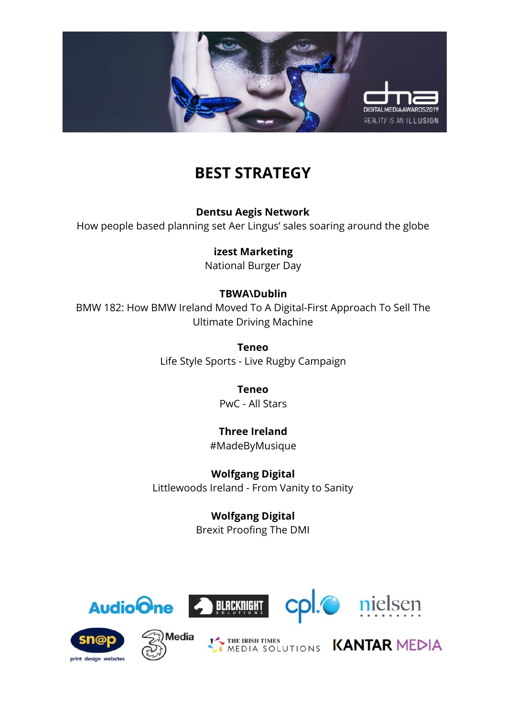

### **BEST STRATEGY**

**Dentsu Aegis Network**

How people based planning set Aer Lingus' sales soaring around the globe

### **izest Marketing**

National Burger Day

#### **TBWA\Dublin**

BMW 182: How BMW Ireland Moved To A Digital-First Approach To Sell The Ultimate Driving Machine

> **Teneo** Life Style Sports - Live Rugby Campaign

> > **Teneo** PwC - All Stars

**Three Ireland** #MadeByMusique

**Wolfgang Digital** Littlewoods Ireland - From Vanity to Sanity

> **Wolfgang Digital** Brexit Proofing The DMI











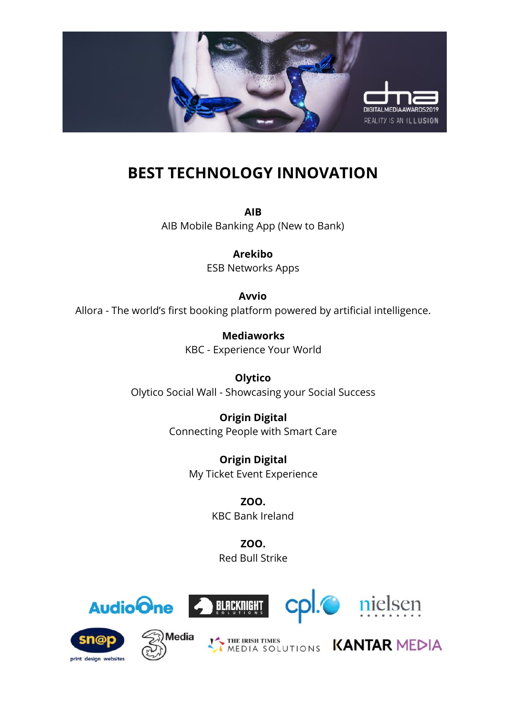

### **BEST TECHNOLOGY INNOVATION**

**AIB** AIB Mobile Banking App (New to Bank)

> **Arekibo** ESB Networks Apps

**Avvio** Allora - The world's first booking platform powered by artificial intelligence.

> **Mediaworks** KBC - Experience Your World

**Olytico** Olytico Social Wall - Showcasing your Social Success

> **Origin Digital** Connecting People with Smart Care

> > **Origin Digital** My Ticket Event Experience

> > > **ZOO.** KBC Bank Ireland

**ZOO.** Red Bull Strike



print design websites



Media





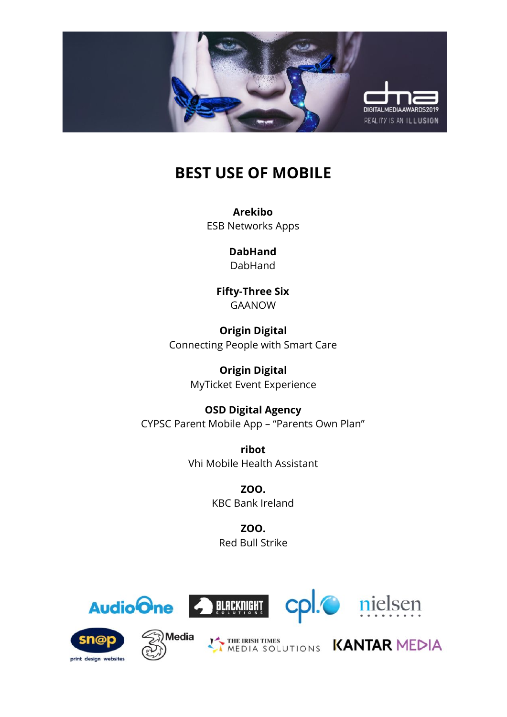

### **BEST USE OF MOBILE**

**Arekibo** ESB Networks Apps

> **DabHand** DabHand

**Fifty-Three Six** GAANOW

**Origin Digital** Connecting People with Smart Care

> **Origin Digital** MyTicket Event Experience

**OSD Digital Agency** CYPSC Parent Mobile App – "Parents Own Plan"

> **ribot** Vhi Mobile Health Assistant

> > **ZOO.** KBC Bank Ireland

**ZOO.** Red Bull Strike













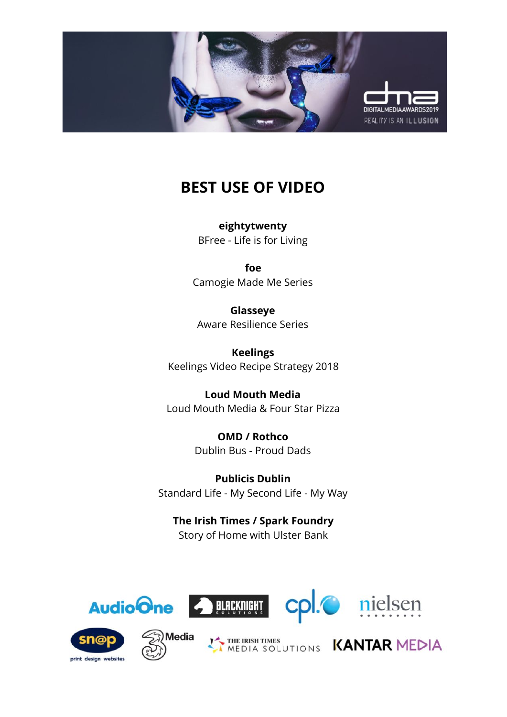

### **BEST USE OF VIDEO**

**eightytwenty** BFree - Life is for Living

**foe** Camogie Made Me Series

**Glasseye** Aware Resilience Series

**Keelings** Keelings Video Recipe Strategy 2018

**Loud Mouth Media** Loud Mouth Media & Four Star Pizza

> **OMD / Rothco** Dublin Bus - Proud Dads

**Publicis Dublin** Standard Life - My Second Life - My Way

**The Irish Times / Spark Foundry** Story of Home with Ulster Bank











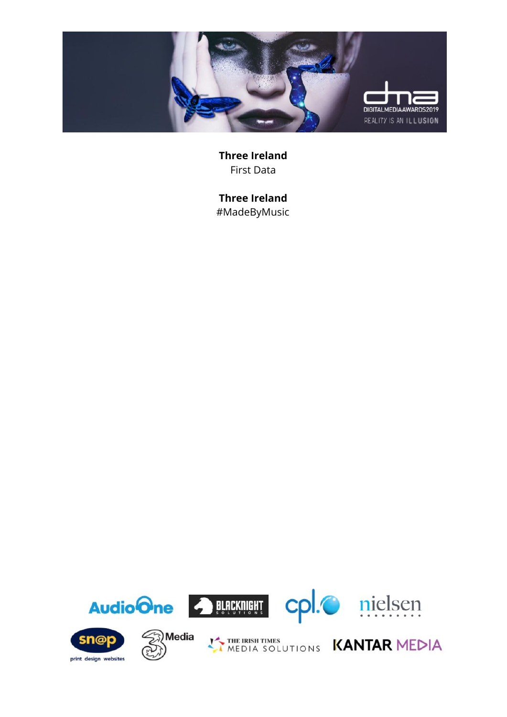

**Three Ireland** First Data

**Three Ireland** #MadeByMusic

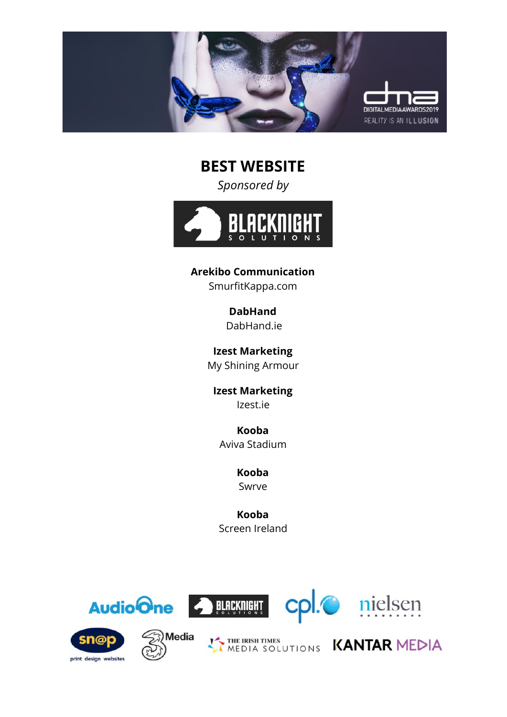

**BEST WEBSITE**

*Sponsored by*



**Arekibo Communication**

SmurfitKappa.com

**DabHand** DabHand.ie

**Izest Marketing** My Shining Armour

**Izest Marketing** Izest.ie

**Kooba** Aviva Stadium

> **Kooba** Swrve

**Kooba** Screen Ireland













THE IRISH TIMES UTIONS KANTAR MEDIA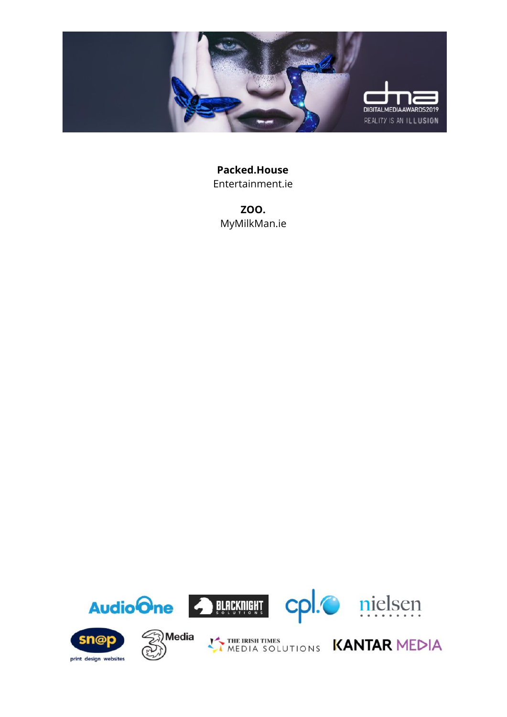

**Packed.House** Entertainment.ie

**ZOO.** MyMilkMan.ie